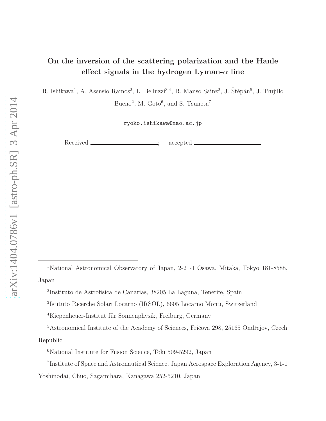# On the inversion of the scattering polarization and the Hanle effect signals in the hydrogen Lyman- $\alpha$  line

R. Ishikawa<sup>1</sup>, A. Asensio Ramos<sup>2</sup>, L. Belluzzi<sup>3,4</sup>, R. Manso Sainz<sup>2</sup>, J. Štěpán<sup>5</sup>, J. Trujillo

Bueno<sup>2</sup>, M. Goto<sup>6</sup>, and S. Tsuneta<sup>7</sup>

ryoko.ishikawa@nao.ac.jp

Received <u>\_\_\_\_\_\_\_\_\_\_\_\_\_\_\_\_\_\_;</u> accepted \_

<sup>1</sup>National Astronomical Observatory of Japan, 2-21-1 Osawa, Mitaka, Tokyo 181-8588, Japan

<sup>2</sup> Instituto de Astrofisica de Canarias, 38205 La Laguna, Tenerife, Spain

<sup>3</sup> Istituto Ricerche Solari Locarno (IRSOL), 6605 Locarno Monti, Switzerland

 $4$ Kiepenheuer-Institut für Sonnenphysik, Freiburg, Germany

<sup>&</sup>lt;sup>5</sup>Astronomical Institute of the Academy of Sciences, Fričova 298, 25165 Ondřejov, Czech Republic

<sup>&</sup>lt;sup>6</sup>National Institute for Fusion Science, Toki 509-5292, Japan

<sup>7</sup> Institute of Space and Astronautical Science, Japan Aerospace Exploration Agency, 3-1-1

Yoshinodai, Chuo, Sagamihara, Kanagawa 252-5210, Japan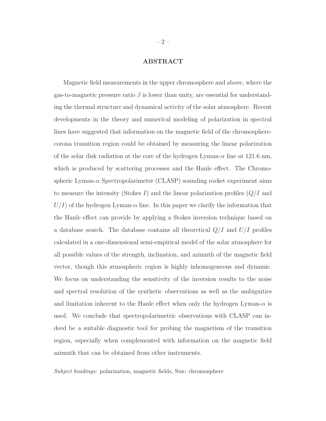### ABSTRACT

Magnetic field measurements in the upper chromosphere and above, where the gas-to-magnetic pressure ratio  $\beta$  is lower than unity, are essential for understanding the thermal structure and dynamical activity of the solar atmosphere. Recent developments in the theory and numerical modeling of polarization in spectral lines have suggested that information on the magnetic field of the chromospherecorona transition region could be obtained by measuring the linear polarization of the solar disk radiation at the core of the hydrogen Lyman- $\alpha$  line at 121.6 nm, which is produced by scattering processes and the Hanle effect. The Chromospheric Lyman- $\alpha$  Spectropolarimeter (CLASP) sounding rocket experiment aims to measure the intensity (Stokes I) and the linear polarization profiles  $(Q/I)$  and  $U/I$ ) of the hydrogen Lyman- $\alpha$  line. In this paper we clarify the information that the Hanle effect can provide by applying a Stokes inversion technique based on a database search. The database contains all theoretical  $Q/I$  and  $U/I$  profiles calculated in a one-dimensional semi-empirical model of the solar atmosphere for all possible values of the strength, inclination, and azimuth of the magnetic field vector, though this atmospheric region is highly inhomogeneous and dynamic. We focus on understanding the sensitivity of the inversion results to the noise and spectral resolution of the synthetic observations as well as the ambiguities and limitation inherent to the Hanle effect when only the hydrogen Lyman- $\alpha$  is used. We conclude that spectropolarimetric observations with CLASP can indeed be a suitable diagnostic tool for probing the magnetism of the transition region, especially when complemented with information on the magnetic field azimuth that can be obtained from other instruments.

Subject headings: polarization, magnetic fields, Sun: chromosphere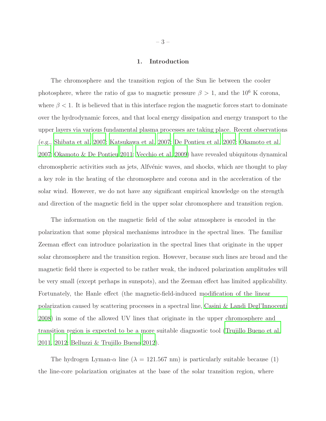#### 1. Introduction

The chromosphere and the transition region of the Sun lie between the cooler photosphere, where the ratio of gas to magnetic pressure  $\beta > 1$ , and the 10<sup>6</sup> K corona, where  $\beta$  < 1. It is believed that in this interface region the magnetic forces start to dominate over the hydrodynamic forces, and that local energy dissipation and energy transport to the upper layers via various fundamental plasma processes are taking place. Recent observations (e.g., [Shibata et al. 2007;](#page-32-0) [Katsukawa et al. 2007;](#page-31-0) [De Pontieu et al. 2007;](#page-31-1) [Okamoto et al.](#page-32-1) [2007;](#page-32-1) [Okamoto & De Pontieu 2011](#page-32-2); [Vecchio et al. 2009](#page-33-0)) have revealed ubiquitous dynamical chromospheric activities such as jets, Alfvénic waves, and shocks, which are thought to play a key role in the heating of the chromosphere and corona and in the acceleration of the solar wind. However, we do not have any significant empirical knowledge on the strength and direction of the magnetic field in the upper solar chromosphere and transition region.

The information on the magnetic field of the solar atmosphere is encoded in the polarization that some physical mechanisms introduce in the spectral lines. The familiar Zeeman effect can introduce polarization in the spectral lines that originate in the upper solar chromosphere and the transition region. However, because such lines are broad and the magnetic field there is expected to be rather weak, the induced polarization amplitudes will be very small (except perhaps in sunspots), and the Zeeman effect has limited applicability. Fortunately, the Hanle effect (the magnetic-field-induced modification of the linear polarization caused by scattering processes in a spectral line, [Casini & Landi Degl'Innocenti](#page-31-2) [2008\)](#page-31-2) in some of the allowed UV lines that originate in the upper chromosphere and transition region is expected to be a more suitable diagnostic tool [\(Trujillo Bueno et al.](#page-33-1) [2011,](#page-33-1) [2012;](#page-33-2) [Belluzzi & Trujillo Bueno 2012\)](#page-31-3).

The hydrogen Lyman- $\alpha$  line ( $\lambda = 121.567$  nm) is particularly suitable because (1) the line-core polarization originates at the base of the solar transition region, where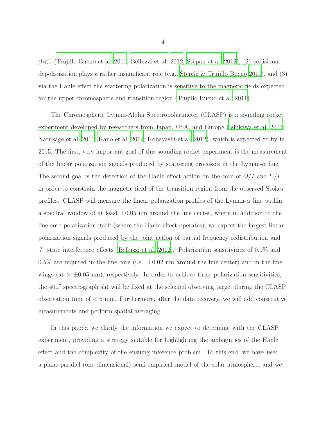$\beta \ll 1$  [\(Trujillo Bueno et al. 2011;](#page-33-1) [Belluzzi et al. 2012;](#page-31-4) Štěpán et al. 2012), (2) collisional depolarization plays a rather insignificant role (e.g.,  $\tilde{S}t\tilde{e}p\tilde{a}n \& Tru$  Trujillo Bueno 2011), and (3) via the Hanle effect the scattering polarization is sensitive to the magnetic fields expected for the upper chromosphere and transition region [\(Trujillo Bueno et al. 2011\)](#page-33-1).

The Chromospheric Lyman-Alpha Spectropolarimeter (CLASP) is a sounding rocket experiment developed by researchers from Japan, USA, and Europe [\(Ishikawa et al. 2011](#page-31-5); [Narukage et al. 2011;](#page-32-4) [Kano et al. 2012;](#page-31-6) [Kobayashi et al. 2012\)](#page-31-7), which is expected to fly in 2015. The first, very important goal of this sounding rocket experiment is the measurement of the linear polarization signals produced by scattering processes in the Lyman- $\alpha$  line. The second goal is the detection of the Hanle effect action on the core of  $Q/I$  and  $U/I$ in order to constrain the magnetic field of the transition region from the observed Stokes profiles. CLASP will measure the linear polarization profiles of the Lyman- $\alpha$  line within a spectral window of at least  $\pm 0.05$  nm around the line center, where in addition to the line core polarization itself (where the Hanle effect operates), we expect the largest linear polarization signals produced by the joint action of partial frequency redistribution and J−state interference effects [\(Belluzzi et al. 2012](#page-31-4)). Polarization sensitivities of 0.1% and 0.5% are required in the line core (i.e.,  $\pm$ 0.02 nm around the line center) and in the line wings (at  $> \pm 0.05$  nm), respectively. In order to achieve these polarization sensitivities, the 400′′ spectrograph slit will be fixed at the selected observing target during the CLASP observation time of  $< 5$  min. Furthermore, after the data recovery, we will add consecutive measurements and perform spatial averaging.

In this paper, we clarify the information we expect to determine with the CLASP experiment, providing a strategy suitable for highlighting the ambiguities of the Hanle effect and the complexity of the ensuing inference problem. To this end, we have used a plane-parallel (one-dimensional) semi-empirical model of the solar atmosphere, and we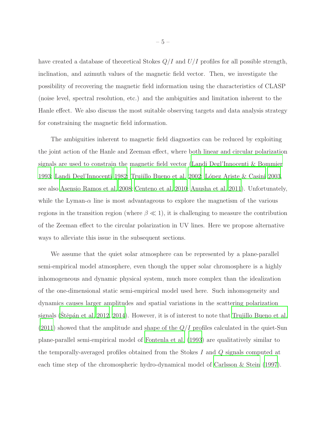have created a database of theoretical Stokes  $Q/I$  and  $U/I$  profiles for all possible strength, inclination, and azimuth values of the magnetic field vector. Then, we investigate the possibility of recovering the magnetic field information using the characteristics of CLASP (noise level, spectral resolution, etc.) and the ambiguities and limitation inherent to the Hanle effect. We also discuss the most suitable observing targets and data analysis strategy for constraining the magnetic field information.

The ambiguities inherent to magnetic field diagnostics can be reduced by exploiting the joint action of the Hanle and Zeeman effect, where both linear and circular polarization signals are used to constrain the magnetic field vector [\(Landi Degl'Innocenti & Bommier](#page-32-5) [1993;](#page-32-5) [Landi Degl'Innocenti 1982](#page-32-6); [Trujillo Bueno et al. 2002;](#page-33-4) López Ariste & Casini 2003, see also [Asensio Ramos et al. 2008;](#page-31-8) [Centeno et al. 2010;](#page-31-9) [Anusha et al. 2011](#page-31-10)). Unfortunately, while the Lyman- $\alpha$  line is most advantageous to explore the magnetism of the various regions in the transition region (where  $\beta \ll 1$ ), it is challenging to measure the contribution of the Zeeman effect to the circular polarization in UV lines. Here we propose alternative ways to alleviate this issue in the subsequent sections.

We assume that the quiet solar atmosphere can be represented by a plane-parallel semi-empirical model atmosphere, even though the upper solar chromosphere is a highly inhomogeneous and dynamic physical system, much more complex than the idealization of the one-dimensional static semi-empirical model used here. Such inhomogeneity and dynamics causes larger amplitudes and spatial variations in the scattering polarization signals (Stěpán et al. 2012, [2014\)](#page-33-5). However, it is of interest to note that [Trujillo Bueno et al.](#page-33-1)  $(2011)$  showed that the amplitude and shape of the  $Q/I$  profiles calculated in the quiet-Sun plane-parallel semi-empirical model of [Fontenla et al. \(1993](#page-31-11)) are qualitatively similar to the temporally-averaged profiles obtained from the Stokes I and Q signals computed at each time step of the chromospheric hydro-dynamical model of [Carlsson & Stein \(1997](#page-31-12)).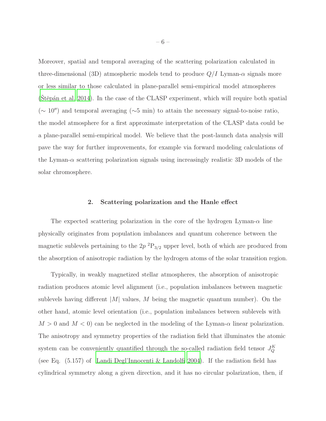Moreover, spatial and temporal averaging of the scattering polarization calculated in three-dimensional (3D) atmospheric models tend to produce  $Q/I$  Lyman- $\alpha$  signals more or less similar to those calculated in plane-parallel semi-empirical model atmospheres  $(St\check{e}p\check{a}n$  et al. 2014). In the case of the CLASP experiment, which will require both spatial (<sup>∼</sup> <sup>10</sup>′′) and temporal averaging (∼5 min) to attain the necessary signal-to-noise ratio, the model atmosphere for a first approximate interpretation of the CLASP data could be a plane-parallel semi-empirical model. We believe that the post-launch data analysis will pave the way for further improvements, for example via forward modeling calculations of the Lyman- $\alpha$  scattering polarization signals using increasingly realistic 3D models of the solar chromosphere.

#### 2. Scattering polarization and the Hanle effect

The expected scattering polarization in the core of the hydrogen Lyman- $\alpha$  line physically originates from population imbalances and quantum coherence between the magnetic sublevels pertaining to the  $2p^{2}P_{3/2}$  upper level, both of which are produced from the absorption of anisotropic radiation by the hydrogen atoms of the solar transition region.

Typically, in weakly magnetized stellar atmospheres, the absorption of anisotropic radiation produces atomic level alignment (i.e., population imbalances between magnetic sublevels having different  $|M|$  values, M being the magnetic quantum number). On the other hand, atomic level orientation (i.e., population imbalances between sublevels with  $M > 0$  and  $M < 0$  can be neglected in the modeling of the Lyman- $\alpha$  linear polarization. The anisotropy and symmetry properties of the radiation field that illuminates the atomic system can be conveniently quantified through the so-called radiation field tensor  $J_Q^K$ (see Eq. (5.157) of [Landi Degl'Innocenti & Landolfi 2004\)](#page-32-8). If the radiation field has cylindrical symmetry along a given direction, and it has no circular polarization, then, if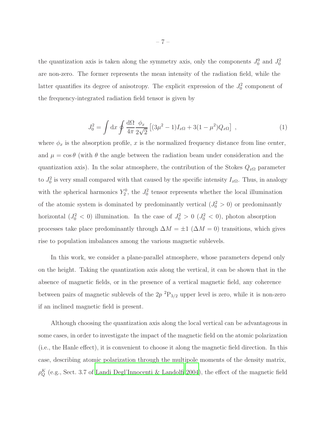the quantization axis is taken along the symmetry axis, only the components  $J_0^0$  and  $J_0^2$ are non-zero. The former represents the mean intensity of the radiation field, while the latter quantifies its degree of anisotropy. The explicit expression of the  $J_0^2$  component of the frequency-integrated radiation field tensor is given by

$$
J_0^2 = \int dx \oint \frac{d\Omega}{4\pi} \frac{\phi_x}{2\sqrt{2}} \left[ (3\mu^2 - 1)I_{x\Omega} + 3(1 - \mu^2)Q_{x\Omega} \right] , \qquad (1)
$$

where  $\phi_x$  is the absorption profile, x is the normalized frequency distance from line center, and  $\mu = \cos \theta$  (with  $\theta$  the angle between the radiation beam under consideration and the quantization axis). In the solar atmosphere, the contribution of the Stokes  $Q_{x\Omega}$  parameter to  $J_0^2$  is very small compared with that caused by the specific intensity  $I_{x\Omega}$ . Thus, in analogy with the spherical harmonics  $Y_2^0$ , the  $J_0^2$  tensor represents whether the local illumination of the atomic system is dominated by predominantly vertical  $(J_0^2 > 0)$  or predominantly horizontal  $(J_0^2 < 0)$  illumination. In the case of  $J_0^2 > 0$   $(J_0^2 < 0)$ , photon absorption processes take place predominantly through  $\Delta M = \pm 1$  ( $\Delta M = 0$ ) transitions, which gives rise to population imbalances among the various magnetic sublevels.

In this work, we consider a plane-parallel atmosphere, whose parameters depend only on the height. Taking the quantization axis along the vertical, it can be shown that in the absence of magnetic fields, or in the presence of a vertical magnetic field, any coherence between pairs of magnetic sublevels of the  $2p^{2}P_{3/2}$  upper level is zero, while it is non-zero if an inclined magnetic field is present.

Although choosing the quantization axis along the local vertical can be advantageous in some cases, in order to investigate the impact of the magnetic field on the atomic polarization (i.e., the Hanle effect), it is convenient to choose it along the magnetic field direction. In this case, describing atomic polarization through the multipole moments of the density matrix,  $\rho_Q^K$  (e.g., Sect. 3.7 of [Landi Degl'Innocenti & Landolfi 2004](#page-32-8)), the effect of the magnetic field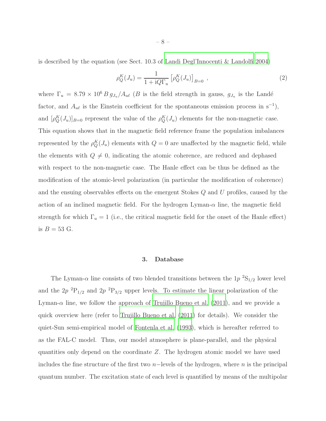is described by the equation (see Sect. 10.3 of [Landi Degl'Innocenti & Landolfi 2004\)](#page-32-8)

$$
\rho_Q^K(J_u) = \frac{1}{1 + iQ\Gamma_u} \left[ \rho_Q^K(J_u) \right]_{B=0} ,
$$
\n(2)

where  $\Gamma_u = 8.79 \times 10^6 B g_{J_u}/A_{u\ell}$  (*B* is the field strength in gauss,  $g_{J_u}$  is the Landé factor, and  $A_{u\ell}$  is the Einstein coefficient for the spontaneous emission process in s<sup>-1</sup>), and  $[\rho_Q^K(J_u)]_{B=0}$  represent the value of the  $\rho_Q^K(J_u)$  elements for the non-magnetic case. This equation shows that in the magnetic field reference frame the population imbalances represented by the  $\rho_Q^K(J_u)$  elements with  $Q=0$  are unaffected by the magnetic field, while the elements with  $Q \neq 0$ , indicating the atomic coherence, are reduced and dephased with respect to the non-magnetic case. The Hanle effect can be thus be defined as the modification of the atomic-level polarization (in particular the modification of coherence) and the ensuing observables effects on the emergent Stokes Q and U profiles, caused by the action of an inclined magnetic field. For the hydrogen Lyman- $\alpha$  line, the magnetic field strength for which  $\Gamma_u = 1$  (i.e., the critical magnetic field for the onset of the Hanle effect) is  $B = 53$  G.

#### 3. Database

<span id="page-7-0"></span>The Lyman- $\alpha$  line consists of two blended transitions between the 1p<sup>2</sup>S<sub>1/2</sub> lower level and the  $2p^{2}P_{1/2}$  and  $2p^{2}P_{3/2}$  upper levels. To estimate the linear polarization of the Lyman- $\alpha$  line, we follow the approach of [Trujillo Bueno et al. \(2011\)](#page-33-1), and we provide a quick overview here (refer to [Trujillo Bueno et al. \(2011\)](#page-33-1) for details). We consider the quiet-Sun semi-empirical model of [Fontenla et al. \(1993\)](#page-31-11), which is hereafter referred to as the FAL-C model. Thus, our model atmosphere is plane-parallel, and the physical quantities only depend on the coordinate Z. The hydrogen atomic model we have used includes the fine structure of the first two n−levels of the hydrogen, where n is the principal quantum number. The excitation state of each level is quantified by means of the multipolar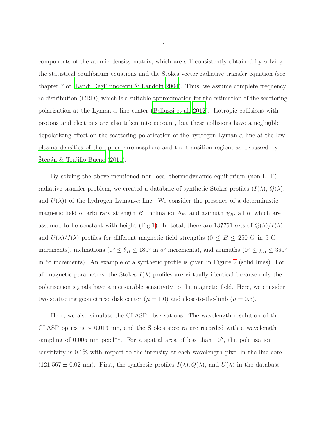components of the atomic density matrix, which are self-consistently obtained by solving the statistical equilibrium equations and the Stokes vector radiative transfer equation (see chapter 7 of [Landi Degl'Innocenti & Landolfi 2004](#page-32-8)). Thus, we assume complete frequency re-distribution (CRD), which is a suitable approximation for the estimation of the scattering polarization at the Lyman- $\alpha$  line center [\(Belluzzi et al. 2012\)](#page-31-4). Isotropic collisions with protons and electrons are also taken into account, but these collisions have a negligible depolarizing effect on the scattering polarization of the hydrogen Lyman- $\alpha$  line at the low plasma densities of the upper chromosphere and the transition region, as discussed by Stěpán  $&$  Trujillo Bueno (2011).

By solving the above-mentioned non-local thermodynamic equilibrium (non-LTE) radiative transfer problem, we created a database of synthetic Stokes profiles  $(I(\lambda), Q(\lambda),$ and  $U(\lambda)$  of the hydrogen Lyman- $\alpha$  line. We consider the presence of a deterministic magnetic field of arbitrary strength B, inclination  $\theta_B$ , and azimuth  $\chi_B$ , all of which are assumed to be constant with height (Fig[.1\)](#page-9-0). In total, there are 137751 sets of  $Q(\lambda)/I(\lambda)$ and  $U(\lambda)/I(\lambda)$  profiles for different magnetic field strengths (0  $\leq$  B  $\leq$  250 G in 5 G increments), inclinations ( $0° \le \theta_B \le 180°$  in 5° increments), and azimuths ( $0° \le \chi_B \le 360°$ in 5◦ increments). An example of a synthetic profile is given in Figure [2](#page-11-0) (solid lines). For all magnetic parameters, the Stokes  $I(\lambda)$  profiles are virtually identical because only the polarization signals have a measurable sensitivity to the magnetic field. Here, we consider two scattering geometries: disk center  $(\mu = 1.0)$  and close-to-the-limb  $(\mu = 0.3)$ .

Here, we also simulate the CLASP observations. The wavelength resolution of the CLASP optics is ∼ 0.013 nm, and the Stokes spectra are recorded with a wavelength sampling of 0.005 nm pixel<sup>-1</sup>. For a spatial area of less than 10<sup> $\prime\prime$ </sup>, the polarization sensitivity is 0.1% with respect to the intensity at each wavelength pixel in the line core  $(121.567 \pm 0.02 \text{ nm})$ . First, the synthetic profiles  $I(\lambda)$ ,  $Q(\lambda)$ , and  $U(\lambda)$  in the database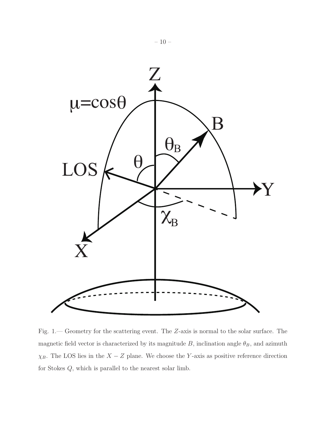

<span id="page-9-0"></span>Fig. 1.— Geometry for the scattering event. The Z-axis is normal to the solar surface. The magnetic field vector is characterized by its magnitude B, inclination angle  $\theta_B$ , and azimuth  $\chi_B$ . The LOS lies in the  $X - Z$  plane. We choose the Y-axis as positive reference direction for Stokes  $Q$ , which is parallel to the nearest solar limb.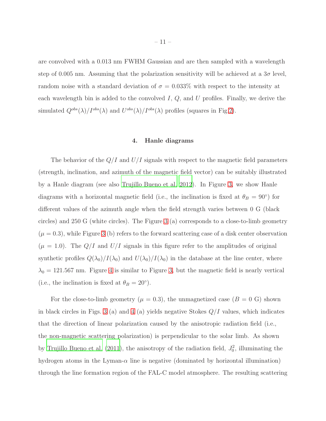are convolved with a 0.013 nm FWHM Gaussian and are then sampled with a wavelength step of 0.005 nm. Assuming that the polarization sensitivity will be achieved at a  $3\sigma$  level, random noise with a standard deviation of  $\sigma = 0.033\%$  with respect to the intensity at each wavelength bin is added to the convolved  $I, Q$ , and  $U$  profiles. Finally, we derive the simulated  $Q^{obs}(\lambda)/I^{obs}(\lambda)$  and  $U^{obs}(\lambda)/I^{obs}(\lambda)$  profiles (squares in Fig[.2\)](#page-11-0).

#### 4. Hanle diagrams

<span id="page-10-0"></span>The behavior of the  $Q/I$  and  $U/I$  signals with respect to the magnetic field parameters (strength, inclination, and azimuth of the magnetic field vector) can be suitably illustrated by a Hanle diagram (see also [Trujillo Bueno et al. 2012\)](#page-33-2). In Figure [3,](#page-12-0) we show Hanle diagrams with a horizontal magnetic field (i.e., the inclination is fixed at  $\theta_B = 90°$ ) for different values of the azimuth angle when the field strength varies between 0 G (black circles) and 250 G (white circles). The Figure [3](#page-12-0) (a) corresponds to a close-to-limb geometry  $(\mu = 0.3)$ , while Figure [3](#page-12-0) (b) refers to the forward scattering case of a disk center observation  $(\mu = 1.0)$ . The  $Q/I$  and  $U/I$  signals in this figure refer to the amplitudes of original synthetic profiles  $Q(\lambda_0)/I(\lambda_0)$  and  $U(\lambda_0)/I(\lambda_0)$  in the database at the line center, where  $\lambda_0 = 121.567$  nm. Figure [4](#page-15-0) is similar to Figure [3,](#page-12-0) but the magnetic field is nearly vertical (i.e., the inclination is fixed at  $\theta_B = 20^\circ$ ).

For the close-to-limb geometry ( $\mu = 0.3$ ), the unmagnetized case ( $B = 0$  G) shown in black circles in Figs. [3](#page-12-0) (a) and [4](#page-15-0) (a) yields negative Stokes  $Q/I$  values, which indicates that the direction of linear polarization caused by the anisotropic radiation field (i.e., the non-magnetic scattering polarization) is perpendicular to the solar limb. As shown by [Trujillo Bueno et al. \(2011\)](#page-33-1), the anisotropy of the radiation field,  $J_0^2$ , illuminating the hydrogen atoms in the Lyman- $\alpha$  line is negative (dominated by horizontal illumination) through the line formation region of the FAL-C model atmosphere. The resulting scattering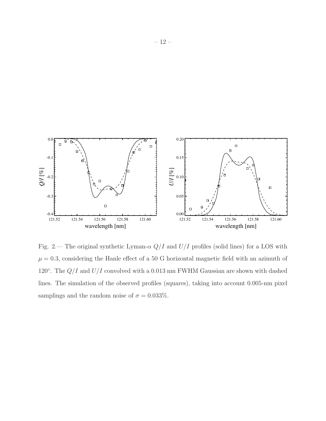

<span id="page-11-0"></span>Fig. 2.— The original synthetic Lyman- $\alpha$   $Q/I$  and  $U/I$  profiles (solid lines) for a LOS with  $\mu = 0.3$ , considering the Hanle effect of a 50 G horizontal magnetic field with an azimuth of 120 $^{\circ}$ . The  $Q/I$  and  $U/I$  convolved with a 0.013 nm FWHM Gaussian are shown with dashed lines. The simulation of the observed profiles (squares), taking into account 0.005-nm pixel samplings and the random noise of  $\sigma = 0.033\%$ .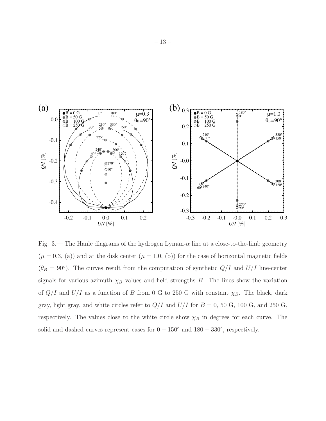

<span id="page-12-0"></span>Fig. 3.— The Hanle diagrams of the hydrogen Lyman- $\alpha$  line at a close-to-the-limb geometry  $(\mu = 0.3, (a))$  and at the disk center  $(\mu = 1.0, (b))$  for the case of horizontal magnetic fields  $(\theta_B = 90^\circ)$ . The curves result from the computation of synthetic  $Q/I$  and  $U/I$  line-center signals for various azimuth  $\chi_B$  values and field strengths B. The lines show the variation of  $Q/I$  and  $U/I$  as a function of B from 0 G to 250 G with constant  $\chi_B$ . The black, dark gray, light gray, and white circles refer to  $Q/I$  and  $U/I$  for  $B = 0$ , 50 G, 100 G, and 250 G, respectively. The values close to the white circle show  $\chi_B$  in degrees for each curve. The solid and dashed curves represent cases for  $0 - 150^{\circ}$  and  $180 - 330^{\circ}$ , respectively.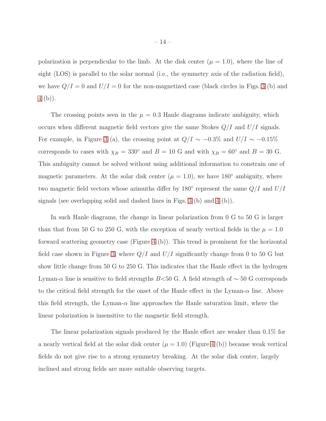polarization is perpendicular to the limb. At the disk center  $(\mu = 1.0)$ , where the line of sight (LOS) is parallel to the solar normal (i.e., the symmetry axis of the radiation field), we have  $Q/I = 0$  and  $U/I = 0$  for the non-magnetized case (black circles in Figs. [3](#page-12-0) (b) and [4](#page-15-0) (b)).

The crossing points seen in the  $\mu = 0.3$  Hanle diagrams indicate ambiguity, which occurs when different magnetic field vectors give the same Stokes  $Q/I$  and  $U/I$  signals. For example, in Figure [3](#page-12-0) (a), the crossing point at  $Q/I \sim -0.3\%$  and  $U/I \sim -0.15\%$ corresponds to cases with  $\chi_B = 330^\circ$  and  $B = 10$  G and with  $\chi_B = 60^\circ$  and  $B = 30$  G. This ambiguity cannot be solved without using additional information to constrain one of magnetic parameters. At the solar disk center ( $\mu = 1.0$ ), we have 180<sup>°</sup> ambiguity, where two magnetic field vectors whose azimuths differ by 180 $^{\circ}$  represent the same  $Q/I$  and  $U/I$ signals (see overlapping solid and dashed lines in Figs. [3](#page-12-0) (b) and [4](#page-15-0) (b)).

In such Hanle diagrams, the change in linear polarization from 0 G to 50 G is larger than that from 50 G to 250 G, with the exception of nearly vertical fields in the  $\mu = 1.0$ forward scattering geometry case (Figure [4](#page-15-0) (b)). This trend is prominent for the horizontal field case shown in Figure [3,](#page-12-0) where  $Q/I$  and  $U/I$  significantly change from 0 to 50 G but show little change from 50 G to 250 G. This indicates that the Hanle effect in the hydrogen Lyman- $\alpha$  line is sensitive to field strengths B<50 G. A field strength of  $\sim$  50 G corresponds to the critical field strength for the onset of the Hanle effect in the Lyman- $\alpha$  line. Above this field strength, the Lyman- $\alpha$  line approaches the Hanle saturation limit, where the linear polarization is insensitive to the magnetic field strength.

The linear polarization signals produced by the Hanle effect are weaker than 0.1% for a nearly vertical field at the solar disk center  $(\mu = 1.0)$  (Figure [4](#page-15-0) (b)) because weak vertical fields do not give rise to a strong symmetry breaking. At the solar disk center, largely inclined and strong fields are more suitable observing targets.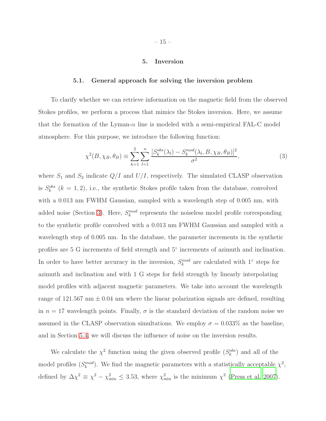#### 5. Inversion

#### <span id="page-14-0"></span>5.1. General approach for solving the inversion problem

To clarify whether we can retrieve information on the magnetic field from the observed Stokes profiles, we perform a process that mimics the Stokes inversion. Here, we assume that the formation of the Lyman- $\alpha$  line is modeled with a semi-empirical FAL-C model atmosphere. For this purpose, we introduce the following function:

$$
\chi^2(B, \chi_B, \theta_B) \equiv \sum_{k=1}^2 \sum_{l=1}^n \frac{[S_k^{obs}(\lambda_l) - S_k^{mod}(\lambda_l, B, \chi_B, \theta_B)]^2}{\sigma^2},\tag{3}
$$

where  $S_1$  and  $S_2$  indicate  $Q/I$  and  $U/I$ , respectively. The simulated CLASP observation is  $S_k^{obs}$  ( $k = 1, 2$ ), i.e., the synthetic Stokes profile taken from the database, convolved with a 0.013 nm FWHM Gaussian, sampled with a wavelength step of 0.005 nm, with added noise (Section [3\)](#page-7-0). Here,  $S_k^{mod}$  represents the noiseless model profile corresponding to the synthetic profile convolved with a 0.013 nm FWHM Gaussian and sampled with a wavelength step of 0.005 nm. In the database, the parameter increments in the synthetic profiles are 5 G increments of field strength and  $5^{\circ}$  increments of azimuth and inclination. In order to have better accuracy in the inversion,  $S_k^{mod}$  are calculated with 1<sup>°</sup> steps for azimuth and inclination and with 1 G steps for field strength by linearly interpolating model profiles with adjacent magnetic parameters. We take into account the wavelength range of 121.567 nm  $\pm$  0.04 nm where the linear polarization signals are defined, resulting in  $n = 17$  wavelength points. Finally,  $\sigma$  is the standard deviation of the random noise we assumed in the CLASP observation simultations. We employ  $\sigma = 0.033\%$  as the baseline, and in Section [5.4,](#page-22-0) we will discuss the influence of noise on the inversion results.

We calculate the  $\chi^2$  function using the given observed profile  $(S_k^{obs})$  and all of the model profiles  $(S_k^{mod})$ . We find the magnetic parameters with a statistically acceptable  $\chi^2$ , defined by  $\Delta \chi^2 \equiv \chi^2 - \chi^2_{\text{min}} \leq 3.53$ , where  $\chi^2_{\text{min}}$  is the minimum  $\chi^2$  [\(Press et al. 2007](#page-32-9)).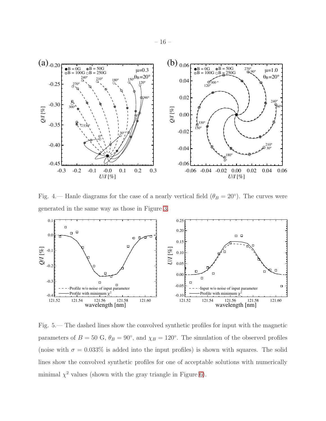![](_page_15_Figure_0.jpeg)

<span id="page-15-0"></span>Fig. 4.— Hanle diagrams for the case of a nearly vertical field  $(\theta_B = 20^{\circ})$ . The curves were generated in the same way as those in Figure [3.](#page-12-0)

![](_page_15_Figure_2.jpeg)

<span id="page-15-1"></span>Fig. 5.— The dashed lines show the convolved synthetic profiles for input with the magnetic parameters of  $B = 50$  G,  $\theta_B = 90^\circ$ , and  $\chi_B = 120^\circ$ . The simulation of the observed profiles (noise with  $\sigma = 0.033\%$  is added into the input profiles) is shown with squares. The solid lines show the convolved synthetic profiles for one of acceptable solutions with numerically minimal  $\chi^2$  values (shown with the gray triangle in Figure [6\)](#page-17-0).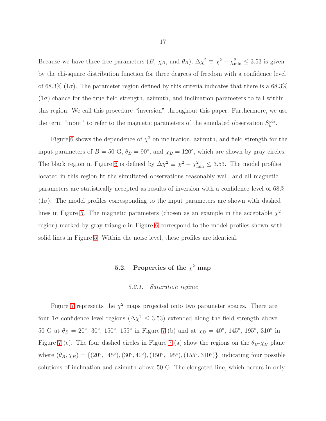Because we have three free parameters  $(B, \chi_B, \text{ and } \theta_B)$ ,  $\Delta \chi^2 \equiv \chi^2 - \chi^2_{\text{min}} \leq 3.53$  is given by the chi-square distribution function for three degrees of freedom with a confidence level of 68.3% ( $1\sigma$ ). The parameter region defined by this criteria indicates that there is a 68.3%  $(1\sigma)$  chance for the true field strength, azimuth, and inclination parameters to fall within this region. We call this procedure "inversion" throughout this paper. Furthermore, we use the term "input" to refer to the magnetic parameters of the simulated observation  $S_k^{obs}$ .

Figure [6](#page-17-0) shows the dependence of  $\chi^2$  on inclination, azimuth, and field strength for the input parameters of  $B = 50$  G,  $\theta_B = 90^\circ$ , and  $\chi_B = 120^\circ$ , which are shown by gray circles. The black region in Figure [6](#page-17-0) is defined by  $\Delta \chi^2 \equiv \chi^2 - \chi^2_{\text{min}} \leq 3.53$ . The model profiles located in this region fit the simultated observations reasonably well, and all magnetic parameters are statistically accepted as results of inversion with a confidence level of 68%  $(1\sigma)$ . The model profiles corresponding to the input parameters are shown with dashed lines in Figure [5.](#page-15-1) The magnetic parameters (chosen as an example in the acceptable  $\chi^2$ region) marked by gray triangle in Figure [6](#page-17-0) correspond to the model profiles shown with solid lines in Figure [5.](#page-15-1) Within the noise level, these profiles are identical.

# 5.2. Properties of the  $\chi^2$  map

# 5.2.1. Saturation regime

<span id="page-16-0"></span>Figure [7](#page-18-0) represents the  $\chi^2$  maps projected onto two parameter spaces. There are four  $1\sigma$  confidence level regions ( $\Delta \chi^2 \leq 3.53$ ) extended along the field strength above 50 G at  $\theta_B = 20^{\circ}$ , 30°, 150°, 155° in Figure [7](#page-18-0) (b) and at  $\chi_B = 40^{\circ}$ , 145°, 195°, 310° in Figure [7](#page-18-0) (c). The four dashed circles in Figure 7 (a) show the regions on the  $\theta_B - \chi_B$  plane where  $(\theta_B, \chi_B) = \{(20^\circ, 145^\circ), (30^\circ, 40^\circ), (150^\circ, 195^\circ), (155^\circ, 310^\circ)\}\$ , indicating four possible solutions of inclination and azimuth above 50 G. The elongated line, which occurs in only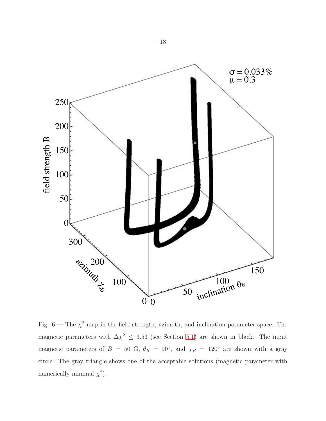![](_page_17_Figure_0.jpeg)

<span id="page-17-0"></span>Fig. 6.— The  $\chi^2$  map in the field strength, azimuth, and inclination parameter space. The magnetic parameters with  $\Delta \chi^2 \leq 3.53$  (see Section [5.1\)](#page-14-0) are shown in black. The input magnetic parameters of  $B = 50$  G,  $\theta_B = 90^\circ$ , and  $\chi_B = 120^\circ$  are shown with a gray circle. The gray triangle shows one of the acceptable solutions (magnetic parameter with numerically minimal  $\chi^2$ ).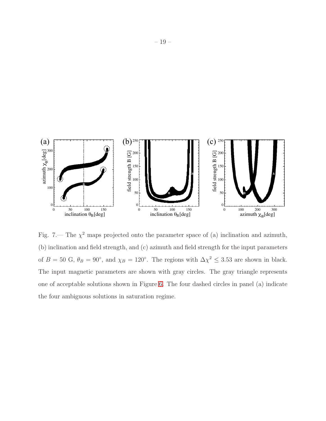![](_page_18_Figure_0.jpeg)

<span id="page-18-0"></span>Fig. 7.— The  $\chi^2$  maps projected onto the parameter space of (a) inclination and azimuth, (b) inclination and field strength, and (c) azimuth and field strength for the input parameters of  $B = 50$  G,  $\theta_B = 90^\circ$ , and  $\chi_B = 120^\circ$ . The regions with  $\Delta \chi^2 \leq 3.53$  are shown in black. The input magnetic parameters are shown with gray circles. The gray triangle represents one of acceptable solutions shown in Figure [6.](#page-17-0) The four dashed circles in panel (a) indicate the four ambiguous solutions in saturation regime.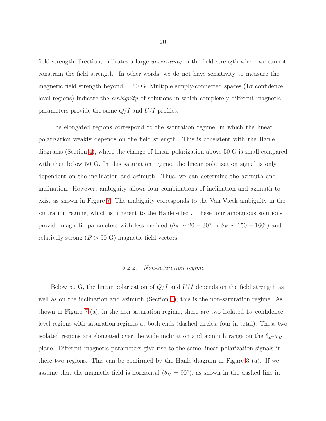field strength direction, indicates a large uncertainty in the field strength where we cannot constrain the field strength. In other words, we do not have sensitivity to measure the magnetic field strength beyond  $\sim$  50 G. Multiple simply-connected spaces (1 $\sigma$  confidence level regions) indicate the ambiguity of solutions in which completely different magnetic parameters provide the same  $Q/I$  and  $U/I$  profiles.

The elongated regions correspond to the saturation regime, in which the linear polarization weakly depends on the field strength. This is consistent with the Hanle diagrams (Section [4\)](#page-10-0), where the change of linear polarization above 50 G is small compared with that below 50 G. In this saturation regime, the linear polarization signal is only dependent on the inclination and azimuth. Thus, we can determine the azimuth and inclination. However, ambiguity allows four combinations of inclination and azimuth to exist as shown in Figure [7.](#page-18-0) The ambiguity corresponds to the Van Vleck ambiguity in the saturation regime, which is inherent to the Hanle effect. These four ambiguous solutions provide magnetic parameters with less inclined ( $\theta_B \sim 20 - 30°$  or  $\theta_B \sim 150 - 160°$ ) and relatively strong  $(B > 50 \text{ G})$  magnetic field vectors.

#### 5.2.2. Non-saturation regime

Below 50 G, the linear polarization of  $Q/I$  and  $U/I$  depends on the field strength as well as on the inclination and azimuth (Section [4\)](#page-10-0); this is the non-saturation regime. As shown in Figure [7](#page-18-0) (a), in the non-saturation regime, there are two isolated  $1\sigma$  confidence level regions with saturation regimes at both ends (dashed circles, four in total). These two isolated regions are elongated over the wide inclination and azimuth range on the  $\theta_B-\chi_B$ plane. Different magnetic parameters give rise to the same linear polarization signals in these two regions. This can be confirmed by the Hanle diagram in Figure [3](#page-12-0) (a). If we assume that the magnetic field is horizontal  $(\theta_B = 90^{\circ})$ , as shown in the dashed line in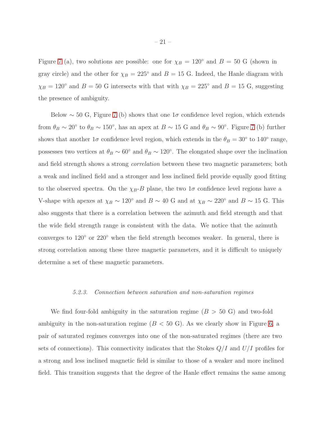Figure [7](#page-18-0) (a), two solutions are possible: one for  $\chi_B = 120^\circ$  and  $B = 50$  G (shown in gray circle) and the other for  $\chi_B = 225^\circ$  and  $B = 15$  G. Indeed, the Hanle diagram with  $\chi_B = 120^\circ$  and  $B = 50$  G intersects with that with  $\chi_B = 225^\circ$  and  $B = 15$  G, suggesting the presence of ambiguity.

Below  $\sim$  50 G, Figure [7](#page-18-0) (b) shows that one 1 $\sigma$  confidence level region, which extends from  $\theta_B \sim 20^{\circ}$  to  $\theta_B \sim 150^{\circ}$ , has an apex at  $B \sim 15$  G and  $\theta_B \sim 90^{\circ}$ . Figure [7](#page-18-0) (b) further shows that another  $1\sigma$  confidence level region, which extends in the  $\theta_B = 30^\circ$  to  $140^\circ$  range, possesses two vertices at  $\theta_B \sim 60^\circ$  and  $\theta_B \sim 120^\circ$ . The elongated shape over the inclination and field strength shows a strong correlation between these two magnetic parameters; both a weak and inclined field and a stronger and less inclined field provide equally good fitting to the observed spectra. On the  $\chi_B-B$  plane, the two  $1\sigma$  confidence level regions have a V-shape with apexes at  $\chi_B \sim 120^\circ$  and  $B \sim 40$  G and at  $\chi_B \sim 220^\circ$  and  $B \sim 15$  G. This also suggests that there is a correlation between the azimuth and field strength and that the wide field strength range is consistent with the data. We notice that the azimuth converges to 120◦ or 220◦ when the field strength becomes weaker. In general, there is strong correlation among these three magnetic parameters, and it is difficult to uniquely determine a set of these magnetic parameters.

#### 5.2.3. Connection between saturation and non-saturation regimes

We find four-fold ambiguity in the saturation regime  $(B > 50 \text{ G})$  and two-fold ambiguity in the non-saturation regime  $(B < 50 \text{ G})$ . As we clearly show in Figure [6,](#page-17-0) a pair of saturated regimes converges into one of the non-saturated regimes (there are two sets of connections). This connectivity indicates that the Stokes  $Q/I$  and  $U/I$  profiles for a strong and less inclined magnetic field is similar to those of a weaker and more inclined field. This transition suggests that the degree of the Hanle effect remains the same among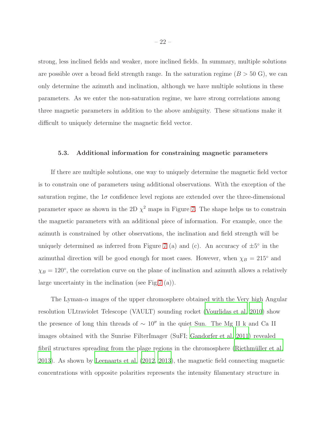strong, less inclined fields and weaker, more inclined fields. In summary, multiple solutions are possible over a broad field strength range. In the saturation regime  $(B > 50 \text{ G})$ , we can only determine the azimuth and inclination, although we have multiple solutions in these parameters. As we enter the non-saturation regime, we have strong correlations among three magnetic parameters in addition to the above ambiguity. These situations make it difficult to uniquely determine the magnetic field vector.

#### 5.3. Additional information for constraining magnetic parameters

If there are multiple solutions, one way to uniquely determine the magnetic field vector is to constrain one of parameters using additional observations. With the exception of the saturation regime, the  $1\sigma$  confidence level regions are extended over the three-dimensional parameter space as shown in the 2D  $\chi^2$  maps in Figure [7.](#page-18-0) The shape helps us to constrain the magnetic parameters with an additional piece of information. For example, once the azimuth is constrained by other observations, the inclination and field strength will be uniquely determined as inferred from Figure [7](#page-18-0) (a) and (c). An accuracy of  $\pm 5^{\circ}$  in the azimuthal direction will be good enough for most cases. However, when  $\chi_B = 215^\circ$  and  $\chi_B = 120^{\circ}$ , the correlation curve on the plane of inclination and azimuth allows a relatively large uncertainty in the inclination (see Fig[.7](#page-18-0) (a)).

The Lyman- $\alpha$  images of the upper chromosphere obtained with the Very high Angular resolution ULtraviolet Telescope (VAULT) sounding rocket [\(Vourlidas et al. 2010\)](#page-33-6) show the presence of long thin threads of <sup>∼</sup> <sup>10</sup>′′ in the quiet Sun. The Mg II k and Ca II images obtained with the Sunrise FilterImager (SuFI; [Gandorfer et](#page-31-13) al. [2011](#page-31-13)) revealed fibril structures spreading from the plage regions in the chromosphere (Riethmüller et al. [2013\)](#page-32-10). As shown by [Leenaarts et al. \(2012,](#page-32-11) [2013](#page-32-12)), the magnetic field connecting magnetic concentrations with opposite polarities represents the intensity filamentary structure in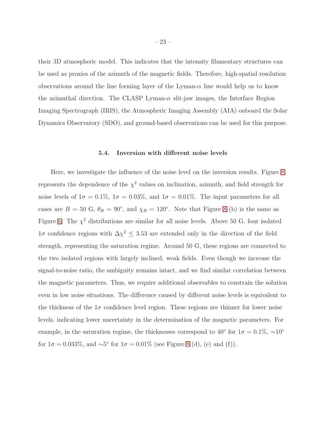their 3D atmospheric model. This indicates that the intensity filamentary structures can be used as proxies of the azimuth of the magnetic fields. Therefore, high-spatial resolution observations around the line forming layer of the Lyman- $\alpha$  line would help us to know the azimuthal direction. The CLASP Lyman-α slit-jaw images, the Interface Region Imaging Spectrograph (IRIS), the Atmospheric Imaging Assembly (AIA) onboard the Solar Dynamics Observatory (SDO), and ground-based observations can be used for this purpose.

#### 5.4. Inversion with different noise levels

<span id="page-22-0"></span>Here, we investigate the influence of the noise level on the inversion results. Figure [8](#page-23-0) represents the dependence of the  $\chi^2$  values on inclination, azimuth, and field strength for noise levels of  $1\sigma = 0.1\%$ ,  $1\sigma = 0.03\%$ , and  $1\sigma = 0.01\%$ . The input parameters for all cases are  $B = 50$  G,  $\theta_B = 90^\circ$ , and  $\chi_B = 120^\circ$ . Note that Figure [8](#page-23-0) (b) is the same as Figure [6.](#page-17-0) The  $\chi^2$  distributions are similar for all noise levels. Above 50 G, four isolated  $1\sigma$  confidence regions with  $\Delta \chi^2 \leq 3.53$  are extended only in the direction of the field strength, representing the saturation regime. Around 50 G, these regions are connected to the two isolated regions with largely inclined, weak fields. Even though we increase the signal-to-noise ratio, the ambiguity remains intact, and we find similar correlation between the magnetic parameters. Thus, we require additional observables to constrain the solution even in low noise situations. The difference caused by different noise levels is equivalent to the thickness of the  $1\sigma$  confidence level region. These regions are thinner for lower noise levels, indicating lower uncertainty in the determination of the magnetic parameters. For example, in the saturation regime, the thicknesses correspond to 40<sup>°</sup> for  $1\sigma = 0.1\%$ ,  $\sim 10$ <sup>°</sup> for  $1\sigma = 0.033\%$ , and  $\sim 5^{\circ}$  for  $1\sigma = 0.01\%$  (see Figure [8](#page-23-0) (d), (e) and (f)).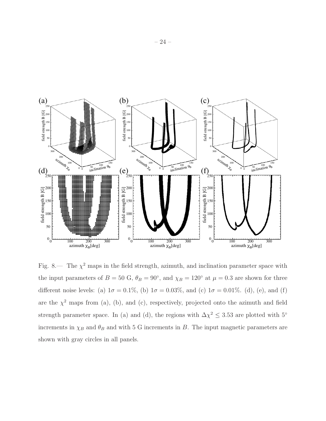![](_page_23_Figure_0.jpeg)

<span id="page-23-0"></span>Fig. 8.— The  $\chi^2$  maps in the field strength, azimuth, and inclination parameter space with the input parameters of  $B = 50 \text{ G}$ ,  $\theta_B = 90^\circ$ , and  $\chi_B = 120^\circ$  at  $\mu = 0.3$  are shown for three different noise levels: (a)  $1\sigma = 0.1\%$ , (b)  $1\sigma = 0.03\%$ , and (c)  $1\sigma = 0.01\%$ . (d), (e), and (f) are the  $\chi^2$  maps from (a), (b), and (c), respectively, projected onto the azimuth and field strength parameter space. In (a) and (d), the regions with  $\Delta \chi^2 \leq 3.53$  are plotted with 5° increments in  $\chi_B$  and  $\theta_B$  and with 5 G increments in B. The input magnetic parameters are shown with gray circles in all panels.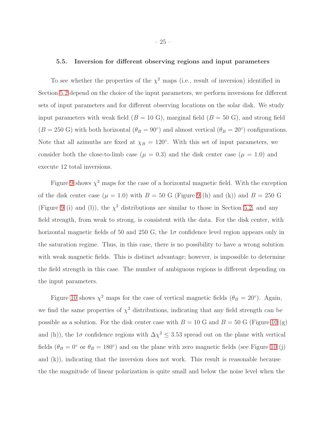#### 5.5. Inversion for different observing regions and input parameters

To see whether the properties of the  $\chi^2$  maps (i.e., result of inversion) identified in Section [5.2](#page-16-0) depend on the choice of the input parameters, we perform inversions for different sets of input parameters and for different observing locations on the solar disk. We study input parameters with weak field  $(B = 10 \text{ G})$ , marginal field  $(B = 50 \text{ G})$ , and strong field  $(B = 250 \text{ G})$  with both horizontal  $(\theta_B = 90^\circ)$  and almost vertical  $(\theta_B = 20^\circ)$  configurations. Note that all azimuths are fixed at  $\chi_B = 120^\circ$ . With this set of input parameters, we consider both the close-to-limb case ( $\mu = 0.3$ ) and the disk center case ( $\mu = 1.0$ ) and execute 12 total inversions.

Figure [9](#page-29-0) shows  $\chi^2$  maps for the case of a horizontal magnetic field. With the exception of the disk center case  $(\mu = 1.0)$  with  $B = 50$  G (Figure [9](#page-29-0) (h) and (k)) and  $B = 250$  G (Figure [9](#page-29-0) (i) and (l)), the  $\chi^2$  distributions are similar to those in Section [5.2,](#page-16-0) and any field strength, from weak to strong, is consistent with the data. For the disk center, with horizontal magnetic fields of 50 and 250 G, the  $1\sigma$  confidence level region appears only in the saturation regime. Thus, in this case, there is no possibility to have a wrong solution with weak magnetic fields. This is distinct advantage; however, is impossible to determine the field strength in this case. The number of ambiguous regions is different depending on the input parameters.

Figure [10](#page-30-0) shows  $\chi^2$  maps for the case of vertical magnetic fields  $(\theta_B = 20^{\circ})$ . Again, we find the same properties of  $\chi^2$  distributions, indicating that any field strength can be possible as a solution. For the disk center case with  $B = 10$  $B = 10$  G and  $B = 50$  G (Figure 10 (g) and (h)), the  $1\sigma$  confidence regions with  $\Delta \chi^2 \leq 3.53$  spread out on the plane with vertical fields  $(\theta_B = 0^{\circ}$  or  $\theta_B = 180^{\circ})$  and on the plane with zero magnetic fields (see Figure [10](#page-30-0) (j) and (k)), indicating that the inversion does not work. This result is reasonable because the the magnitude of linear polarization is quite small and below the noise level when the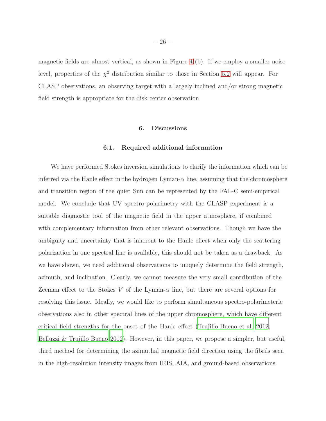magnetic fields are almost vertical, as shown in Figure [4](#page-15-0) (b). If we employ a smaller noise level, properties of the  $\chi^2$  distribution similar to those in Section [5.2](#page-16-0) will appear. For CLASP observations, an observing target with a largely inclined and/or strong magnetic field strength is appropriate for the disk center observation.

## 6. Discussions

#### 6.1. Required additional information

We have performed Stokes inversion simulations to clarify the information which can be inferred via the Hanle effect in the hydrogen Lyman- $\alpha$  line, assuming that the chromosphere and transition region of the quiet Sun can be represented by the FAL-C semi-empirical model. We conclude that UV spectro-polarimetry with the CLASP experiment is a suitable diagnostic tool of the magnetic field in the upper atmosphere, if combined with complementary information from other relevant observations. Though we have the ambiguity and uncertainty that is inherent to the Hanle effect when only the scattering polarization in one spectral line is available, this should not be taken as a drawback. As we have shown, we need additional observations to uniquely determine the field strength, azimuth, and inclination. Clearly, we cannot measure the very small contribution of the Zeeman effect to the Stokes V of the Lyman- $\alpha$  line, but there are several options for resolving this issue. Ideally, we would like to perform simultaneous spectro-polarimeteric observations also in other spectral lines of the upper chromosphere, which have different critical field strengths for the onset of the Hanle effect [\(Trujillo Bueno et al. 2012](#page-33-2); [Belluzzi & Trujillo Bueno 2012\)](#page-31-3). However, in this paper, we propose a simpler, but useful, third method for determining the azimuthal magnetic field direction using the fibrils seen in the high-resolution intensity images from IRIS, AIA, and ground-based observations.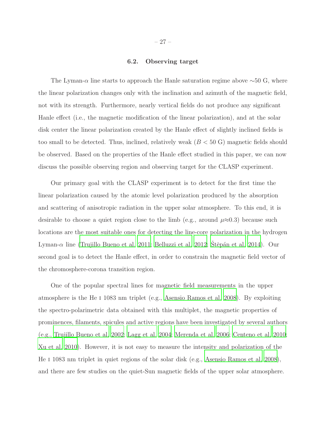#### 6.2. Observing target

The Lyman- $\alpha$  line starts to approach the Hanle saturation regime above  $\sim 50$  G, where the linear polarization changes only with the inclination and azimuth of the magnetic field, not with its strength. Furthermore, nearly vertical fields do not produce any significant Hanle effect (i.e., the magnetic modification of the linear polarization), and at the solar disk center the linear polarization created by the Hanle effect of slightly inclined fields is too small to be detected. Thus, inclined, relatively weak  $(B < 50 \text{ G})$  magnetic fields should be observed. Based on the properties of the Hanle effect studied in this paper, we can now discuss the possible observing region and observing target for the CLASP experiment.

Our primary goal with the CLASP experiment is to detect for the first time the linear polarization caused by the atomic level polarization produced by the absorption and scattering of anisotropic radiation in the upper solar atmosphere. To this end, it is desirable to choose a quiet region close to the limb (e.g., around  $\mu \approx 0.3$ ) because such locations are the most suitable ones for detecting the line-core polarization in the hydrogen Lyman- $\alpha$  line [\(Trujillo Bueno et al. 2011;](#page-33-1) [Belluzzi et al. 2012;](#page-31-4) Stěpán et al. 2014). Our second goal is to detect the Hanle effect, in order to constrain the magnetic field vector of the chromosphere-corona transition region.

One of the popular spectral lines for magnetic field measurements in the upper atmosphere is the He i 1083 nm triplet (e.g., [Asensio Ramos et al. 2008\)](#page-31-8). By exploiting the spectro-polarimetric data obtained with this multiplet, the magnetic properties of prominences, filaments, spicules and active regions have been investigated by several authors (e.g., [Trujillo Bueno et al. 2002;](#page-33-4) [Lagg et al. 2004;](#page-31-14) [Merenda et al. 2006;](#page-32-13) [Centeno et al. 2010;](#page-31-9) [Xu et al. 2010\)](#page-33-7). However, it is not easy to measure the intensity and polarization of the He i 1083 nm triplet in quiet regions of the solar disk (e.g., [Asensio Ramos et](#page-31-8) al. [2008](#page-31-8)), and there are few studies on the quiet-Sun magnetic fields of the upper solar atmosphere.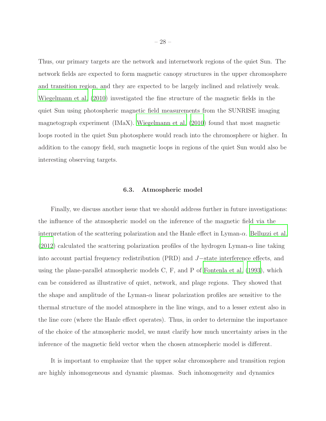Thus, our primary targets are the network and internetwork regions of the quiet Sun. The network fields are expected to form magnetic canopy structures in the upper chromosphere and transition region, and they are expected to be largely inclined and relatively weak. [Wiegelmann et al. \(2010](#page-33-8)) investigated the fine structure of the magnetic fields in the quiet Sun using photospheric magnetic field measurements from the SUNRISE imaging magnetograph experiment (IMaX). [Wiegelmann et al. \(2010\)](#page-33-8) found that most magnetic loops rooted in the quiet Sun photosphere would reach into the chromosphere or higher. In addition to the canopy field, such magnetic loops in regions of the quiet Sun would also be interesting observing targets.

#### 6.3. Atmospheric model

Finally, we discuss another issue that we should address further in future investigations: the influence of the atmospheric model on the inference of the magnetic field via the interpretation of the scattering polarization and the Hanle effect in Lyman- $\alpha$ . [Belluzzi et al.](#page-31-4)  $(2012)$  calculated the scattering polarization profiles of the hydrogen Lyman- $\alpha$  line taking into account partial frequency redistribution (PRD) and J−state interference effects, and using the plane-parallel atmospheric models C, F, and P of [Fontenla et al. \(1993](#page-31-11)), which can be considered as illustrative of quiet, network, and plage regions. They showed that the shape and amplitude of the Lyman- $\alpha$  linear polarization profiles are sensitive to the thermal structure of the model atmosphere in the line wings, and to a lesser extent also in the line core (where the Hanle effect operates). Thus, in order to determine the importance of the choice of the atmospheric model, we must clarify how much uncertainty arises in the inference of the magnetic field vector when the chosen atmospheric model is different.

It is important to emphasize that the upper solar chromosphere and transition region are highly inhomogeneous and dynamic plasmas. Such inhomogeneity and dynamics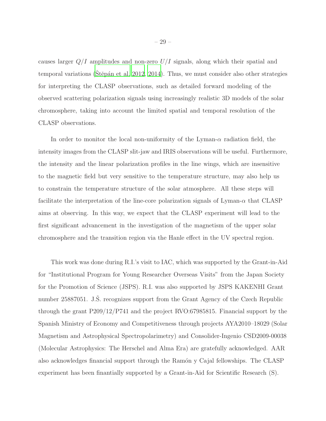causes larger  $Q/I$  amplitudes and non-zero  $U/I$  signals, along which their spatial and temporal variations (Stěpán et al. 2012, [2014\)](#page-33-5). Thus, we must consider also other strategies for interpreting the CLASP observations, such as detailed forward modeling of the observed scattering polarization signals using increasingly realistic 3D models of the solar chromosphere, taking into account the limited spatial and temporal resolution of the CLASP observations.

In order to monitor the local non-uniformity of the Lyman-α radiation field, the intensity images from the CLASP slit-jaw and IRIS observations will be useful. Furthermore, the intensity and the linear polarization profiles in the line wings, which are insensitive to the magnetic field but very sensitive to the temperature structure, may also help us to constrain the temperature structure of the solar atmosphere. All these steps will facilitate the interpretation of the line-core polarization signals of Lyman- $\alpha$  that CLASP aims at observing. In this way, we expect that the CLASP experiment will lead to the first significant advancement in the investigation of the magnetism of the upper solar chromosphere and the transition region via the Hanle effect in the UV spectral region.

This work was done during R.I.'s visit to IAC, which was supported by the Grant-in-Aid for "Institutional Program for Young Researcher Overseas Visits" from the Japan Society for the Promotion of Science (JSPS). R.I. was also supported by JSPS KAKENHI Grant number 25887051. J.S. recognizes support from the Grant Agency of the Czech Republic through the grant P209/12/P741 and the project RVO:67985815. Financial support by the Spanish Ministry of Economy and Competitiveness through projects AYA2010–18029 (Solar Magnetism and Astrophysical Spectropolarimetry) and Consolider-Ingenio CSD2009-00038 (Molecular Astrophysics: The Herschel and Alma Era) are gratefully acknowledged. AAR also acknowledges financial support through the Ramón y Cajal fellowships. The CLASP experiment has been finantially supported by a Grant-in-Aid for Scientific Research (S).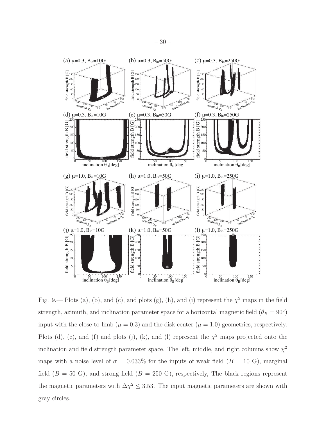![](_page_29_Figure_1.jpeg)

<span id="page-29-0"></span>Fig. 9.— Plots (a), (b), and (c), and plots (g), (h), and (i) represent the  $\chi^2$  maps in the field strength, azimuth, and inclination parameter space for a horizontal magnetic field  $(\theta_B = 90^{\circ})$ input with the close-to-limb ( $\mu = 0.3$ ) and the disk center ( $\mu = 1.0$ ) geometries, respectively. Plots (d), (e), and (f) and plots (j), (k), and (l) represent the  $\chi^2$  maps projected onto the inclination and field strength parameter space. The left, middle, and right columns show  $\chi^2$ maps with a noise level of  $\sigma = 0.033\%$  for the inputs of weak field ( $B = 10 \text{ G}$ ), marginal field  $(B = 50 \text{ G})$ , and strong field  $(B = 250 \text{ G})$ , respectively, The black regions represent the magnetic parameters with  $\Delta \chi^2 \leq 3.53$ . The input magnetic parameters are shown with gray circles.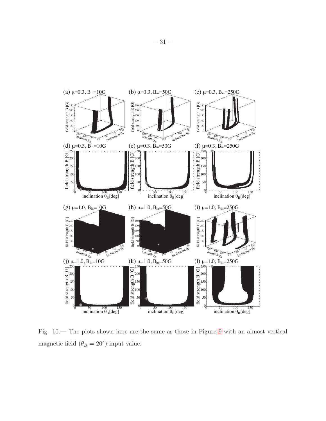![](_page_30_Figure_0.jpeg)

<span id="page-30-0"></span>Fig. 10.— The plots shown here are the same as those in Figure [9](#page-29-0) with an almost vertical magnetic field  $(\theta_B = 20^{\circ})$  input value.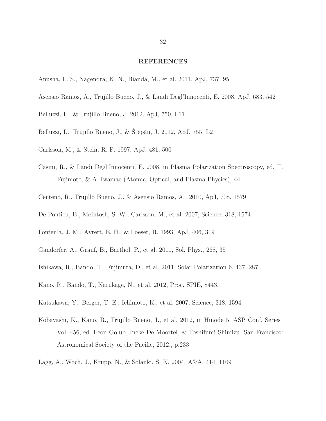#### REFERENCES

- <span id="page-31-10"></span>Anusha, L. S., Nagendra, K. N., Bianda, M., et al. 2011, ApJ, 737, 95
- <span id="page-31-8"></span>Asensio Ramos, A., Trujillo Bueno, J., & Landi Degl'Innocenti, E. 2008, ApJ, 683, 542
- <span id="page-31-3"></span>Belluzzi, L., & Trujillo Bueno, J. 2012, ApJ, 750, L11
- <span id="page-31-4"></span>Belluzzi, L., Trujillo Bueno, J., & Štěpán, J. 2012, ApJ, 755, L2
- <span id="page-31-12"></span>Carlsson, M., & Stein, R. F. 1997, ApJ, 481, 500
- <span id="page-31-2"></span>Casini, R., & Landi Degl'Innocenti, E. 2008, in Plasma Polarization Spectroscopy, ed. T. Fujimoto, & A. Iwamae (Atomic, Optical, and Plasma Physics), 44
- <span id="page-31-9"></span>Centeno, R., Trujillo Bueno, J., & Asensio Ramos, A. 2010, ApJ, 708, 1579
- <span id="page-31-1"></span>De Pontieu, B., McIntosh, S. W., Carlsson, M., et al. 2007, Science, 318, 1574
- <span id="page-31-11"></span>Fontenla, J. M., Avrett, E. H., & Loeser, R. 1993, ApJ, 406, 319
- <span id="page-31-13"></span>Gandorfer, A., Grauf, B., Barthol, P., et al. 2011, Sol. Phys., 268, 35
- <span id="page-31-5"></span>Ishikawa, R., Bando, T., Fujimura, D., et al. 2011, Solar Polarization 6, 437, 287
- <span id="page-31-6"></span>Kano, R., Bando, T., Narukage, N., et al. 2012, Proc. SPIE, 8443,
- <span id="page-31-0"></span>Katsukawa, Y., Berger, T. E., Ichimoto, K., et al. 2007, Science, 318, 1594
- <span id="page-31-7"></span>Kobayashi, K., Kano, R., Trujillo Bueno, J., et al. 2012, in Hinode 5, ASP Conf. Series Vol. 456, ed. Leon Golub, Ineke De Moortel, & Toshifumi Shimizu. San Francisco: Astronomical Society of the Pacific, 2012., p.233
- <span id="page-31-14"></span>Lagg, A., Woch, J., Krupp, N., & Solanki, S. K. 2004, A&A, 414, 1109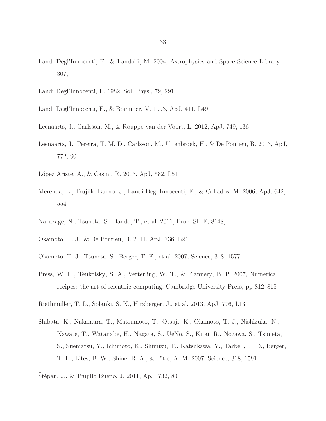- <span id="page-32-8"></span>Landi Degl'Innocenti, E., & Landolfi, M. 2004, Astrophysics and Space Science Library, 307,
- <span id="page-32-6"></span>Landi Degl'Innocenti, E. 1982, Sol. Phys., 79, 291
- <span id="page-32-5"></span>Landi Degl'Innocenti, E., & Bommier, V. 1993, ApJ, 411, L49
- <span id="page-32-11"></span>Leenaarts, J., Carlsson, M., & Rouppe van der Voort, L. 2012, ApJ, 749, 136
- <span id="page-32-12"></span>Leenaarts, J., Pereira, T. M. D., Carlsson, M., Uitenbroek, H., & De Pontieu, B. 2013, ApJ, 772, 90
- <span id="page-32-7"></span>López Ariste, A., & Casini, R. 2003, ApJ, 582, L51
- <span id="page-32-13"></span>Merenda, L., Trujillo Bueno, J., Landi Degl'Innocenti, E., & Collados, M. 2006, ApJ, 642, 554
- <span id="page-32-4"></span>Narukage, N., Tsuneta, S., Bando, T., et al. 2011, Proc. SPIE, 8148,
- <span id="page-32-2"></span>Okamoto, T. J., & De Pontieu, B. 2011, ApJ, 736, L24
- <span id="page-32-1"></span>Okamoto, T. J., Tsuneta, S., Berger, T. E., et al. 2007, Science, 318, 1577
- <span id="page-32-9"></span>Press, W. H., Teukolsky, S. A., Vetterling, W. T., & Flannery, B. P. 2007, Numerical recipes: the art of scientific computing, Cambridge University Press, pp 812–815
- <span id="page-32-10"></span>Riethm¨uller, T. L., Solanki, S. K., Hirzberger, J., et al. 2013, ApJ, 776, L13
- <span id="page-32-0"></span>Shibata, K., Nakamura, T., Matsumoto, T., Otsuji, K., Okamoto, T. J., Nishizuka, N., Kawate, T., Watanabe, H., Nagata, S., UeNo, S., Kitai, R., Nozawa, S., Tsuneta, S., Suematsu, Y., Ichimoto, K., Shimizu, T., Katsukawa, Y., Tarbell, T. D., Berger, T. E., Lites, B. W., Shine, R. A., & Title, A. M. 2007, Science, 318, 1591
- <span id="page-32-3"></span>Stěpán, J., & Trujillo Bueno, J. 2011, ApJ, 732, 80